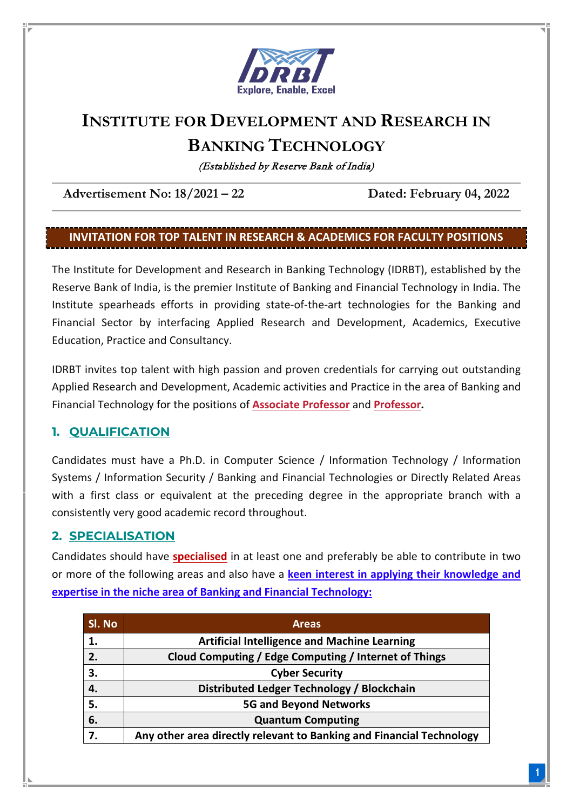

# **INSTITUTE FOR DEVELOPMENT AND RESEARCH IN BANKING TECHNOLOGY**

(Established by Reserve Bank of India)

**Advertisement No: 18/2021 – 22 Dated: February 04, 2022**

## **INVITATION FOR TOP TALENT IN RESEARCH & ACADEMICS FOR FACULTY POSITIONS**

The Institute for Development and Research in Banking Technology (IDRBT), established by the Reserve Bank of India, is the premier Institute of Banking and Financial Technology in India. The Institute spearheads efforts in providing state-of-the-art technologies for the Banking and Financial Sector by interfacing Applied Research and Development, Academics, Executive Education, Practice and Consultancy.

IDRBT invites top talent with high passion and proven credentials for carrying out outstanding Applied Research and Development, Academic activities and Practice in the area of Banking and Financial Technology for the positions of **Associate Professor** and **Professor.**

## **1. QUALIFICATION**

Candidates must have a Ph.D. in Computer Science / Information Technology / Information Systems / Information Security / Banking and Financial Technologies or Directly Related Areas with a first class or equivalent at the preceding degree in the appropriate branch with a consistently very good academic record throughout.

## **2. SPECIALISATION**

Candidates should have **specialised** in at least one and preferably be able to contribute in two or more of the following areas and also have a **keen interest in applying their knowledge and expertise in the niche area of Banking and Financial Technology:**

| SI. No | <b>Areas</b>                                                         |
|--------|----------------------------------------------------------------------|
|        | <b>Artificial Intelligence and Machine Learning</b>                  |
| 2.     | Cloud Computing / Edge Computing / Internet of Things                |
| 3.     | <b>Cyber Security</b>                                                |
| 4.     | Distributed Ledger Technology / Blockchain                           |
| 5.     | <b>5G and Beyond Networks</b>                                        |
| 6.     | <b>Quantum Computing</b>                                             |
| 7.     | Any other area directly relevant to Banking and Financial Technology |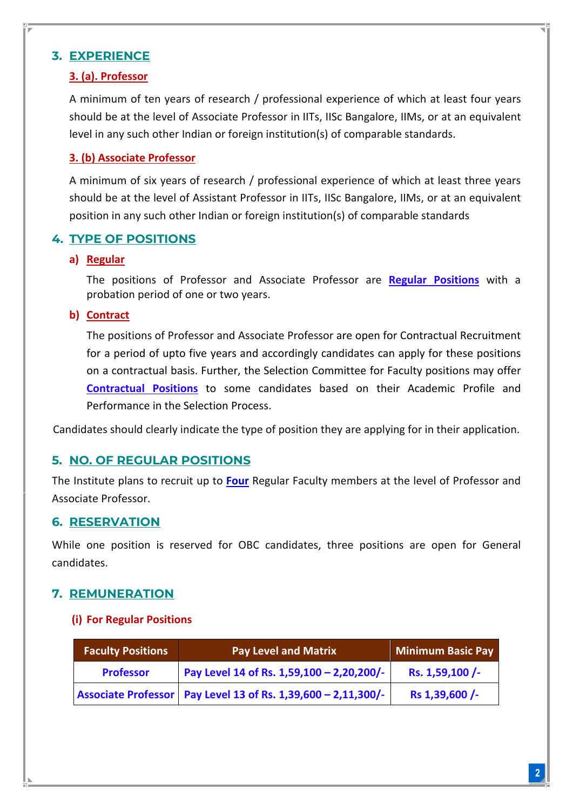## **3. EXPERIENCE**

## **3. (a). Professor**

A minimum of ten years of research / professional experience of which at least four years should be at the level of Associate Professor in IITs, IISc Bangalore, IIMs, or at an equivalent level in any such other Indian or foreign institution(s) of comparable standards.

## **3. (b) Associate Professor**

A minimum of six years of research / professional experience of which at least three years should be at the level of Assistant Professor in IITs, IISc Bangalore, IIMs, or at an equivalent position in any such other Indian or foreign institution(s) of comparable standards

## **4. TYPE OF POSITIONS**

#### **a) Regular**

The positions of Professor and Associate Professor are **Regular Positions** with a probation period of one or two years.

#### **b) Contract**

The positions of Professor and Associate Professor are open for Contractual Recruitment for a period of upto five years and accordingly candidates can apply for these positions on a contractual basis. Further, the Selection Committee for Faculty positions may offer **Contractual Positions** to some candidates based on their Academic Profile and Performance in the Selection Process.

Candidates should clearly indicate the type of position they are applying for in their application.

#### **5. NO. OF REGULAR POSITIONS**

The Institute plans to recruit up to **Four** Regular Faculty members at the level of Professor and Associate Professor.

#### **6. RESERVATION**

While one position is reserved for OBC candidates, three positions are open for General candidates.

## **7. REMUNERATION**

#### **(i) For Regular Positions**

| <b>Faculty Positions</b> | <b>Pay Level and Matrix</b>                                     | Minimum Basic Pay |
|--------------------------|-----------------------------------------------------------------|-------------------|
| <b>Professor</b>         | Pay Level 14 of Rs. 1,59,100 - 2,20,200/-                       | Rs. 1,59,100 /-   |
|                          | Associate Professor   Pay Level 13 of Rs. 1,39,600 - 2,11,300/- | Rs 1,39,600 /-    |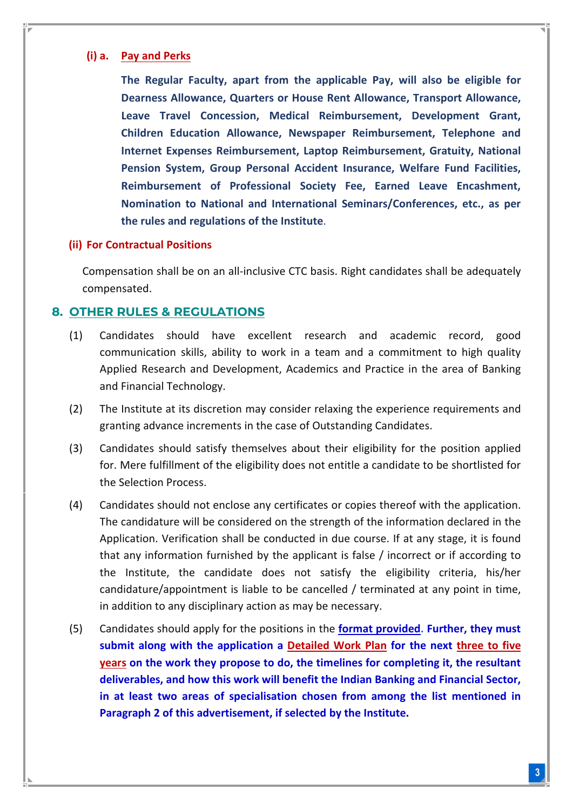#### **(i) a. Pay and Perks**

**The Regular Faculty, apart from the applicable Pay, will also be eligible for Dearness Allowance, Quarters or House Rent Allowance, Transport Allowance, Leave Travel Concession, Medical Reimbursement, Development Grant, Children Education Allowance, Newspaper Reimbursement, Telephone and Internet Expenses Reimbursement, Laptop Reimbursement, Gratuity, National Pension System, Group Personal Accident Insurance, Welfare Fund Facilities, Reimbursement of Professional Society Fee, Earned Leave Encashment, Nomination to National and International Seminars/Conferences, etc., as per the rules and regulations of the Institute**.

#### **(ii) For Contractual Positions**

Compensation shall be on an all-inclusive CTC basis. Right candidates shall be adequately compensated.

#### **8. OTHER RULES & REGULATIONS**

- (1) Candidates should have excellent research and academic record, good communication skills, ability to work in a team and a commitment to high quality Applied Research and Development, Academics and Practice in the area of Banking and Financial Technology.
- (2) The Institute at its discretion may consider relaxing the experience requirements and granting advance increments in the case of Outstanding Candidates.
- (3) Candidates should satisfy themselves about their eligibility for the position applied for. Mere fulfillment of the eligibility does not entitle a candidate to be shortlisted for the Selection Process.
- (4) Candidates should not enclose any certificates or copies thereof with the application. The candidature will be considered on the strength of the information declared in the Application. Verification shall be conducted in due course. If at any stage, it is found that any information furnished by the applicant is false / incorrect or if according to the Institute, the candidate does not satisfy the eligibility criteria, his/her candidature/appointment is liable to be cancelled / terminated at any point in time, in addition to any disciplinary action as may be necessary.
- (5) Candidates should apply for the positions in the **format provided. Further, they must submit along with the application a Detailed Work Plan for the next three to five years on the work they propose to do, the timelines for completing it, the resultant deliverables, and how this work will benefit the Indian Banking and Financial Sector, in at least two areas of specialisation chosen from among the list mentioned in Paragraph 2 of this advertisement, if selected by the Institute.**